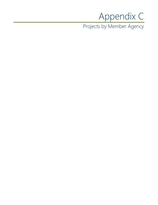## Appendix C

Projects by Member Agency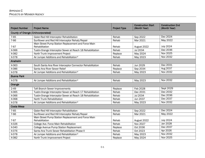| <b>Project Number</b>                    | <b>Project Name</b>                                                   | <b>Project Type</b> | <b>Construction Start</b><br>(Month Year) | <b>Construction End</b><br>(Month Year) |  |
|------------------------------------------|-----------------------------------------------------------------------|---------------------|-------------------------------------------|-----------------------------------------|--|
| <b>County of Orange (Unincorporated)</b> |                                                                       |                     |                                           |                                         |  |
| 7-65                                     | Gisler-Red Hill Interceptor Rehabilitation                            | Rehab               | Sep 2022                                  | Dec 2024                                |  |
| 7-66                                     | Sunflower and Red Hill Interceptor Rehab/Repair                       | Rehab               | Mar 2021                                  | May 2022                                |  |
| 7-67                                     | Main Street Pump Station Replacement and Force Main<br>Rehabilitation | Rehab               | August 2022                               | <b>July 2024</b>                        |  |
| X-066                                    | Tustin-Orange Interceptor Sewer at Reach 18 Rehabilitation            | Rehab               | Jul 2034                                  | Dec 2036                                |  |
| X-082                                    | North Trunk Improvement Project                                       | Replace             | May 2024                                  | Nov 2025                                |  |
| X-078                                    | Air Jumper Additions and Rehabilitation*                              | Rehab               | May 2023                                  | Nov 2032                                |  |
| Anaheim                                  |                                                                       |                     |                                           |                                         |  |
| X-063                                    | South Santa Ana River Interceptor Connector Rehabilitation            | Rehab               | Jun 2029                                  | Dec 2031                                |  |
| X-086                                    | Santa Ana River Sewer Relief                                          | Replace             | Sep 2034                                  | Aug 2037                                |  |
| X-078                                    | Air Jumper Additions and Rehabilitation*                              | Rehab               | May 2023                                  | Nov 2032                                |  |
| <b>Buena Park</b>                        |                                                                       |                     |                                           |                                         |  |
| X-078                                    | Air Jumper Additions and Rehabilitation*                              | Rehab               | May 2023                                  | Nov 2032                                |  |
| Orange                                   |                                                                       |                     |                                           |                                         |  |
| $2 - 49$                                 | <b>Taft Branch Sewer Improvements</b>                                 | Replace             | Feb 2028                                  | Sept 2029                               |  |
| X-065                                    | Tustin-Orange Interceptor Sewer at Reach 17 Rehabilitation            | Rehab               | Dec 2031                                  | Dec 2032                                |  |
| X-066                                    | Tustin-Orange Interceptor Sewer at Reach 18 Rehabilitation            | Rehab               | Jul 2034                                  | Dec 2036                                |  |
| X-068                                    | North Trunk Rehabilitation                                            | Rehab               | Jun 2037                                  | Dec 2037                                |  |
| X-078                                    | Air Jumper Additions and Rehabilitation*                              | Rehab               | May 2023                                  | <b>Nov 2032</b>                         |  |
| Costa Mesa                               |                                                                       |                     |                                           |                                         |  |
| 7-65                                     | Gisler-Red Hill Interceptor Rehabilitation                            | Rehab               | Sep 2022                                  | Dec 2024                                |  |
| 7-66                                     | Sunflower and Red Hill Interceptor Rehab/Repair                       | Rehab               | Mar 2021                                  | May 2022                                |  |
| 7-67                                     | Main Street Pump Station Replacement and Force Main<br>Rehabilitation | Rehab               | August 2022                               | <b>July 2024</b>                        |  |
| X-026                                    | College Ave. Force Main Rehabilitation                                | Rehab               | Nov 2027                                  | Jan 2028                                |  |
| X-040                                    | College Avenue Pump Station Replacement                               | Replace             | Oct 2036                                  | Dec 2037                                |  |
| X-076                                    | Santa Ana Trunk Sewer Rehabilitation Phase II                         | Rehab               | Oct 2023                                  | Apr 2026                                |  |
| X-078                                    | Air Jumper Additions and Rehabilitation*                              | Rehab               | May 2023                                  | Nov 2032                                |  |
| X-082                                    | North Trunk Improvement Project                                       | Replace             | May 2024                                  | Nov 2025                                |  |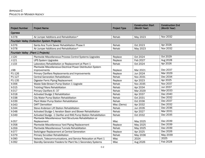| <b>Project Number</b>              | <b>Project Name</b>                                                      | <b>Project Type</b> | <b>Construction Start</b><br>(Month Year) | <b>Construction End</b><br>(Month Year) |
|------------------------------------|--------------------------------------------------------------------------|---------------------|-------------------------------------------|-----------------------------------------|
| <b>Cypress</b>                     |                                                                          |                     |                                           |                                         |
| X-078                              | Air Jumper Additions and Rehabilitation*                                 | Rehab               | May 2023                                  | Nov 2032                                |
|                                    | <b>Fountain Valley (Collection System Projects)</b>                      |                     |                                           |                                         |
| X-076                              | Santa Ana Trunk Sewer Rehabilitation Phase II                            | Rehab               | Oct 2023                                  | Apr 2026                                |
| X-078                              | Air Jumper Additions and Rehabilitation*                                 | Rehab               | May 2023                                  | <b>Nov 2032</b>                         |
| Fountain Valley (Plant 1 Projects) |                                                                          |                     |                                           |                                         |
| $J-120$                            | Plantwide Miscellaneous Process Control Systems Upgrades                 | Replace             | Oct 2024                                  | Oct 2029                                |
| $J-121$                            | <b>UPS System Upgrades</b>                                               | Replace             | Feb 2027                                  | Aug 2028                                |
| $J-133$                            | Laboratory Rehabilitation or Replacement at Plant 1                      | Rehab               | Oct 2024                                  | Apr 2026                                |
|                                    | Plantwide Miscellaneous Electrical Power Distribution System             |                     |                                           |                                         |
| $J-98$                             | Improvements                                                             | Replace             | Mar 2021                                  | Dec 2037                                |
| P1-126                             | Primary Clarifiers Replacements and Improvements                         | Replace             | Jun 2024                                  | Mar 2029                                |
| P1-127                             | <b>Central Generation Rehabilitation</b>                                 | Rehab               | Nov 2031                                  | Dec 2034                                |
| P1-135                             | Digester Ferric Piping Replacement                                       | Replace             | Apr 2023                                  | Apr 2025                                |
| X-006                              | Waste Side-Stream Pump Station 1 Upgrade                                 | Rehab               | Nov 2035                                  | <b>Nov 2037</b>                         |
| X-015                              | <b>Trickling Filters Rehabilitation</b>                                  | Rehab               | Apr 2034                                  | <b>Jun 2037</b>                         |
| $X-017$                            | Primary Clarifiers 6-37                                                  | Rehab               | Mar 2029                                  | Mar-2033                                |
| X-018                              | Activated Sludge 2 Rehabilitation                                        | Rehab               | Apr 2037                                  | Dec 2040                                |
| X-038                              | City Water Pump Station Rehabilitation                                   | Rehab               | Oct 2031                                  | Dec 2032                                |
| X-039                              | Plant Water Pump Station Rehabilitation                                  | Rehab               | Oct 2036                                  | Dec 2037                                |
| X-043                              | <b>DAFT Demolition</b>                                                   | Misc (Demo)         | Apr 2032                                  | Dec 2032                                |
| X-044                              | Steve Anderson Lift Station Rehabilitation                               | Rehab               | Jun 2035                                  | Dec 2036                                |
| X-048                              | Activated Sludge-1 Aeration Basin and Blower Rehabilitation              | Rehab               | Apr 2027                                  | Mar 2031                                |
| X-049                              | Activated Sludge -1 Clarifier and RAS Pump Station Rehabilitation        | Rehab               | Oct 2032                                  | Dec 2035                                |
| X-057                              | Plantwide Miscellaneous Yard Structures Rehabilitation or<br>Replacement | <b>Misc</b>         | May 2025                                  | Dec 2039                                |
| $X-058$                            | Plantwide Miscellaneous Yard Piping Replacement                          | Replace             | May 2025                                  | Dec 2039                                |
| X-059                              | Plantwide Miscellaneous Tunnels Rehabilitation                           | Rehab               | May 2025                                  | Dec 2039                                |
| X-077                              | Switchgear Replacement at Central Generation                             | Replace             | Apr 2025                                  | Dec 2026                                |
| X-079                              | Primary Scrubber Rehabilitation                                          | Rehab               | May 2036                                  | May 2039                                |
| X-090                              | Network, Telecommunications, and Service Relocation at Plant 1           | Misc                | 2024                                      | 2025                                    |
| X-092                              | Standby Generator Feeders for Plant No.1 Secondary Systems               | <b>Misc</b>         | Aug 2026                                  | <b>Feb 2028</b>                         |
|                                    |                                                                          |                     |                                           |                                         |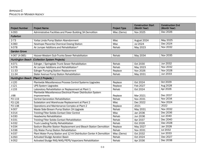| <b>Project Number</b>               | <b>Project Name</b>                                                 | <b>Project Type</b> | <b>Construction Start</b><br>(Month Year) | <b>Construction End</b><br>(Month Year) |
|-------------------------------------|---------------------------------------------------------------------|---------------------|-------------------------------------------|-----------------------------------------|
| X-093                               | Administrative Facilities and Power Building 3A Demolition          | Misc (Demo)         | Nov 2025                                  | Dec 2026                                |
| <b>Fullerton</b>                    |                                                                     |                     |                                           |                                         |
| $2 - 73$                            | Yorba Linda Pump Station Abandonment                                | <b>Misc</b>         | August 2024                               | May 2025                                |
| X-060                               | Newhope Placentia Chemical Dosing Station                           | <b>Misc</b>         | Jul 2024                                  | Dec 2024                                |
| X-078                               | Air Jumper Additions and Rehabilitation*                            | Rehab               | May 2023                                  | <b>Nov 2032</b>                         |
| <b>Garden Grove</b>                 |                                                                     |                     |                                           |                                         |
| X-067 (X-085)                       | Hoover-Western Sub-Trunks Sewer Rehabilitation                      | Rehab               | May 2034                                  | Nov 2035                                |
|                                     | Huntington Beach (Collection System Projects)                       |                     |                                           |                                         |
| X-071                               | Edinger / Springdale Trunk Sewer Rehabilitation                     | Rehab               | Oct 2030                                  | <b>Jun 2032</b>                         |
| X-078                               | Air Jumper Additions and Rehabilitation*                            | Rehab               | May 2023                                  | <b>Nov 2032</b>                         |
| 11-33                               | <b>Edinger Pumping Station Replacement</b>                          | Replace             | Nov 2026                                  | <b>Nov 2028</b>                         |
| 11-34                               | Slater Avenue Pump Station Rehabilitation                           | Rehab               | May 2031                                  | Jun 2033                                |
| Huntington Beach (Plant 2 Projects) |                                                                     |                     |                                           |                                         |
| $J-120$                             | Plantwide Miscellaneous Process Control Systems Upgrades            | Replace             | Oct 2024                                  | Oct 2029                                |
| $J-121$                             | <b>UPS System Upgrades</b>                                          | Replace             | Feb 2027                                  | Aug 2028                                |
| $J-133$                             | Laboratory Rehabilitation or Replacement at Plant 1                 | Rehab               | Oct 2024                                  | Apr 2026                                |
|                                     | Plantwide Miscellaneous Electrical Power Distribution System        |                     |                                           |                                         |
| J-98                                | Improvements                                                        | Replace             | Mar 2021                                  | Dec 2037                                |
| P2-119                              | <b>Central Generation Rehabilitation</b>                            | Rehab               | Nov 2031                                  | <b>Nov 2034</b>                         |
| P2-126                              | Substation and Warehouse Replacement at Plant 2                     | <b>Misc</b>         | Dec 2022                                  | <b>Nov 2024</b>                         |
| P2-138                              | Operations and Maintenance Complex at Plant 2                       | Replace             | 2021                                      | 2022                                    |
| $X-007$                             | Waste Side-Stream Pump Station 2A Upgrade                           | Rehab               | May 2031                                  | <b>Nov 2032</b>                         |
| $X-014$                             | Trickling Filter Solids-Contact Odor Control                        | <b>Misc</b>         | Jan 2036                                  | Dec 2036                                |
| X-030                               | <b>Headworks Rehabilitation</b>                                     | Rehab               | Jun 2036                                  | <b>Jun 2040</b>                         |
| X-031                               | <b>Trickling Filter Solids-Contact Rehabilitation</b>               | Rehab               | Apr 2037                                  | Dec 2040                                |
| X-032                               | <b>Truck Loading Facility Rehabilitation</b>                        | Rehab               | Oct 2026                                  | Dec 2028                                |
| $X-034$                             | Sodium Bisulfite Station Replacement and Bleach Station Demolition  | Replace             | May 2027                                  | Jan 2028                                |
| X-036                               | City Water Pump Station Rehabilitation                              | Rehab               | Nov 2031                                  | Jul 2032                                |
| X-037                               | Plant Water Pump Station and 12 kV Distribution Center A Demolition | Misc (Demo)         | Oct 2032                                  | Jun 2033                                |
| X-050                               | <b>Activated Sludge Aeration Basin</b>                              | Rehab               | Oct 2024                                  | Dec 2027                                |
| $X-052$                             | Activated Sludge RAS/WAS/PEPS/Vaporizers Rehabilitation             | Rehab               | Apr 2036                                  | Dec 2038                                |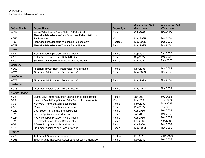| <b>Project Number</b> | <b>Project Name</b>                                        | <b>Project Type</b> | <b>Construction Start</b><br>(Month Year) | <b>Construction End</b><br>(Month Year) |  |
|-----------------------|------------------------------------------------------------|---------------------|-------------------------------------------|-----------------------------------------|--|
| X-054                 | Waste Side-Stream Pump Station C Rehabilitation            | Rehab               | Oct 2026                                  | Dec 2027                                |  |
|                       | Plantwide Miscellaneous Yard Structures Rehabilitation or  |                     |                                           |                                         |  |
| X-057                 | Replacement                                                | <b>Misc</b>         | May 2025                                  | Dec 2039                                |  |
| X-058                 | Plantwide Miscellaneous Yard Piping Replacement            | Replace             | May 2025                                  | Dec 2039                                |  |
| X-059                 | Plantwide Miscellaneous Tunnels Rehabilitation             | Rehab               | May 2025                                  | Dec 2039                                |  |
| <b>Irvine</b>         |                                                            |                     |                                           |                                         |  |
| 7-64                  | Main Street Pump Station Rehabilitation                    | Rehab               | Sep 2031                                  | Sep 2033                                |  |
| $7 - 65$              | Gisler-Red Hill Interceptor Rehabilitation                 | Rehab               | Sep 2022                                  | Dec 2024                                |  |
| 7-66                  | Sunflower and Red Hill Interceptor Rehab/Repair            | Rehab               | Mar 2021                                  | May 2022                                |  |
| La Habra              |                                                            |                     |                                           |                                         |  |
| X-061                 | Imperial Highway Relief Interceptor Rehabilitation         | Rehab               | Dec 2036                                  | Dec 2038                                |  |
| $X-078$               | Air Jumper Additions and Rehabilitation*                   | Rehab               | May 2023                                  | <b>Nov 2032</b>                         |  |
| La Mirada             |                                                            |                     |                                           |                                         |  |
| $X-078$               | Air Jumper Additions and Rehabilitation*                   | Rehab               | May 2023                                  | <b>Nov 2032</b>                         |  |
| La Palma              |                                                            |                     |                                           |                                         |  |
| X-078                 | Air Jumper Additions and Rehabilitation*                   | Rehab               | May 2023                                  | Nov 2032                                |  |
| <b>Newport Beach</b>  |                                                            |                     |                                           |                                         |  |
| 5-66                  | Crystal Cove Pumping Station Upgrade and Rehabilitation    | Rehab               | Jan 2037                                  | Feb 2038                                |  |
| 5-68                  | Newport Beach Pump Station Odor Control Improvements       | <b>Misc</b>         | Mar 2021                                  | <b>Jun 2023</b>                         |  |
| $7 - 63$              | MacArthur Pump Station Rehabilitation                      | Rehab               | Nov 2031                                  | May 2033                                |  |
| 7-68                  | MacArthur Dual Force Main Improvements                     | Rehab               | Dec 2022                                  | Jan 2024                                |  |
| X-022                 | 15th Street Pump Station Rehabilitation                    | Rehab               | Oct 2036                                  | Dec 2037                                |  |
| X-023                 | Lido Pump Station Rehabilitation                           | Rehab               | Jun 2031                                  | Dec 2032                                |  |
| X-024                 | Rocky Point Pump Station Rehabilitation                    | Rehab               | Oct 2036                                  | Dec 2037                                |  |
| X-025                 | <b>Bitter Point Pump Station Rehabilitation</b>            | Rehab               | Feb 2037                                  | Apr 2038                                |  |
| X-041                 | A Street Pump Station Rehabilitation                       | Rehab               | Oct 2036                                  | Dec 2037                                |  |
| $X-078$               | Air Jumper Additions and Rehabilitation*                   | Rehab               | May 2023                                  | <b>Nov 2032</b>                         |  |
| Orange                |                                                            |                     |                                           |                                         |  |
| $2 - 49$              | <b>Taft Branch Sewer Improvements</b>                      | Replace             | Feb 2028                                  | Sept 2029                               |  |
| X-065                 | Tustin-Orange Interceptor Sewer at Reach 17 Rehabilitation | Rehab               | Dec 2031                                  | Dec 2032                                |  |